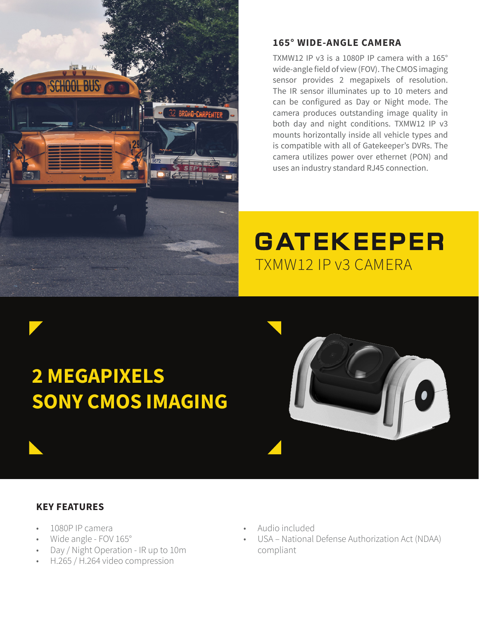

### **165° WIDE-ANGLE CAMERA**

TXMW12 IP v3 is a 1080P IP camera with a 165° wide-angle field of view (FOV). The CMOS imaging sensor provides 2 megapixels of resolution. The IR sensor illuminates up to 10 meters and can be configured as Day or Night mode. The camera produces outstanding image quality in both day and night conditions. TXMW12 IP v3 mounts horizontally inside all vehicle types and is compatible with all of Gatekeeper's DVRs. The camera utilizes power over ethernet (PON) and uses an industry standard RJ45 connection.

## **GATEKEEPER** TXMW12 IP v3 CAMERA

# **2 MEGAPIXELS SONY CMOS IMAGING**



### **KEY FEATURES**

- 1080P IP camera
- Wide angle FOV 165°
- Day / Night Operation IR up to 10m
- H.265 / H.264 video compression
- Audio included
- USA National Defense Authorization Act (NDAA) compliant